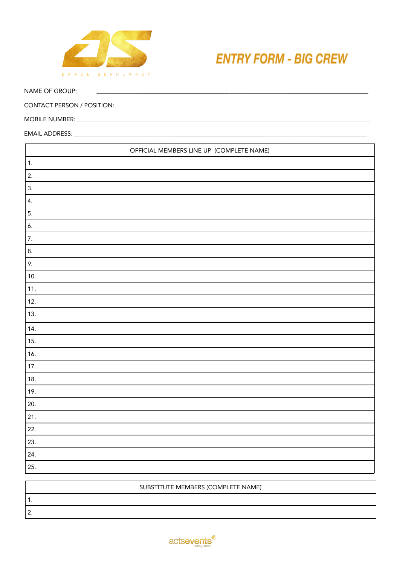

## **ENTRY FORM - BIG CREW**

NAME OF GROUP:

| OFFICIAL MEMBERS LINE UP (COMPLETE NAME) |  |  |
|------------------------------------------|--|--|
| $\overline{1}$ .                         |  |  |
| 2.                                       |  |  |
| 3.                                       |  |  |
| 4.                                       |  |  |
| 5.                                       |  |  |
| 6.                                       |  |  |
| $\overline{7}$ .                         |  |  |
| 8.                                       |  |  |
| 9.                                       |  |  |
| 10.                                      |  |  |
| 11.                                      |  |  |
| 12.                                      |  |  |
| 13.                                      |  |  |
| 14.                                      |  |  |
| 15.                                      |  |  |
| 16.                                      |  |  |
| 17.                                      |  |  |
| 18.                                      |  |  |
| 19.                                      |  |  |
| 20.                                      |  |  |
| 21.                                      |  |  |
| 22.                                      |  |  |
| 23.                                      |  |  |
| 24.                                      |  |  |
| 25.                                      |  |  |

<u> 1980 - Jan Sterling Sterling (d. 1980)</u>

| SUBSTITUTE MEMBERS (COMPLETE NAME) |  |  |  |  |
|------------------------------------|--|--|--|--|
|                                    |  |  |  |  |
| -                                  |  |  |  |  |